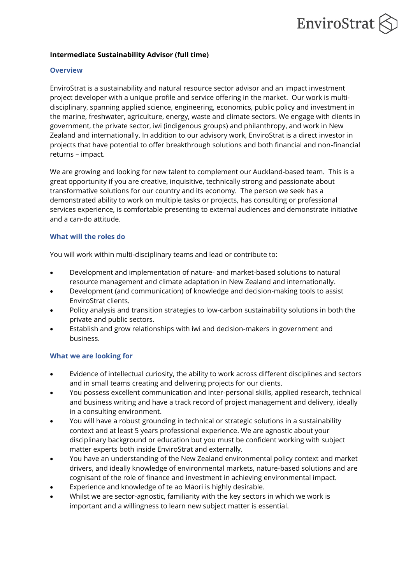# EnviroStrat

## **Intermediate Sustainability Advisor (full time)**

#### **Overview**

EnviroStrat is a sustainability and natural resource sector advisor and an impact investment project developer with a unique profile and service offering in the market. Our work is multidisciplinary, spanning applied science, engineering, economics, public policy and investment in the marine, freshwater, agriculture, energy, waste and climate sectors. We engage with clients in government, the private sector, iwi (indigenous groups) and philanthropy, and work in New Zealand and internationally. In addition to our advisory work, EnviroStrat is a direct investor in projects that have potential to offer breakthrough solutions and both financial and non-financial returns – impact.

We are growing and looking for new talent to complement our Auckland-based team. This is a great opportunity if you are creative, inquisitive, technically strong and passionate about transformative solutions for our country and its economy. The person we seek has a demonstrated ability to work on multiple tasks or projects, has consulting or professional services experience, is comfortable presenting to external audiences and demonstrate initiative and a can-do attitude.

## **What will the roles do**

You will work within multi-disciplinary teams and lead or contribute to:

- Development and implementation of nature- and market-based solutions to natural resource management and climate adaptation in New Zealand and internationally.
- Development (and communication) of knowledge and decision-making tools to assist EnviroStrat clients.
- Policy analysis and transition strategies to low-carbon sustainability solutions in both the private and public sectors.
- Establish and grow relationships with iwi and decision-makers in government and business.

# **What we are looking for**

- Evidence of intellectual curiosity, the ability to work across different disciplines and sectors and in small teams creating and delivering projects for our clients.
- You possess excellent communication and inter-personal skills, applied research, technical and business writing and have a track record of project management and delivery, ideally in a consulting environment.
- You will have a robust grounding in technical or strategic solutions in a sustainability context and at least 5 years professional experience. We are agnostic about your disciplinary background or education but you must be confident working with subject matter experts both inside EnviroStrat and externally.
- You have an understanding of the New Zealand environmental policy context and market drivers, and ideally knowledge of environmental markets, nature-based solutions and are cognisant of the role of finance and investment in achieving environmental impact.
- Experience and knowledge of te ao Māori is highly desirable.
- Whilst we are sector-agnostic, familiarity with the key sectors in which we work is important and a willingness to learn new subject matter is essential.